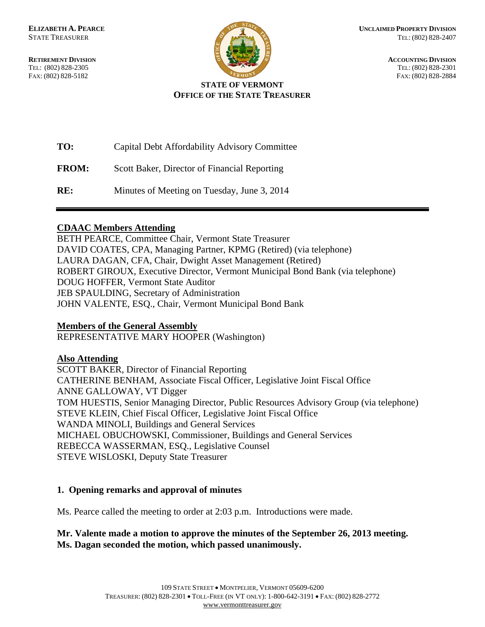**RETIREMENT DIVISION ACCOUNTING DIVISION** TEL: (802) 828-2305 TEL: (802) 828-2301 FAX: (802) 828-5182 FAX: (802) 828-2884



### **STATE OF VERMONT OFFICE OF THE STATE TREASURER**

| TO:          | Capital Debt Affordability Advisory Committee |
|--------------|-----------------------------------------------|
| <b>FROM:</b> | Scott Baker, Director of Financial Reporting  |
| RE:          | Minutes of Meeting on Tuesday, June 3, 2014   |

## **CDAAC Members Attending**

BETH PEARCE, Committee Chair, Vermont State Treasurer DAVID COATES, CPA, Managing Partner, KPMG (Retired) (via telephone) LAURA DAGAN, CFA, Chair, Dwight Asset Management (Retired) ROBERT GIROUX, Executive Director, Vermont Municipal Bond Bank (via telephone) DOUG HOFFER, Vermont State Auditor JEB SPAULDING, Secretary of Administration JOHN VALENTE, ESQ., Chair, Vermont Municipal Bond Bank

### **Members of the General Assembly**

REPRESENTATIVE MARY HOOPER (Washington)

### **Also Attending**

SCOTT BAKER, Director of Financial Reporting CATHERINE BENHAM, Associate Fiscal Officer, Legislative Joint Fiscal Office ANNE GALLOWAY, VT Digger TOM HUESTIS, Senior Managing Director, Public Resources Advisory Group (via telephone) STEVE KLEIN, Chief Fiscal Officer, Legislative Joint Fiscal Office WANDA MINOLI, Buildings and General Services MICHAEL OBUCHOWSKI, Commissioner, Buildings and General Services REBECCA WASSERMAN, ESQ., Legislative Counsel STEVE WISLOSKI, Deputy State Treasurer

# **1. Opening remarks and approval of minutes**

Ms. Pearce called the meeting to order at 2:03 p.m. Introductions were made.

### **Mr. Valente made a motion to approve the minutes of the September 26, 2013 meeting. Ms. Dagan seconded the motion, which passed unanimously.**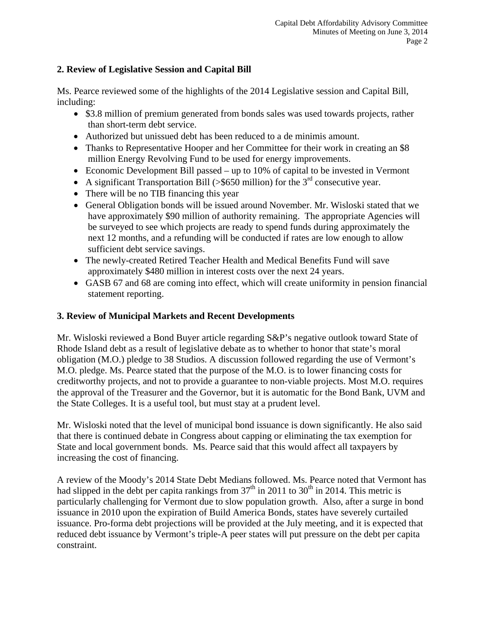## **2. Review of Legislative Session and Capital Bill**

Ms. Pearce reviewed some of the highlights of the 2014 Legislative session and Capital Bill, including:

- \$3.8 million of premium generated from bonds sales was used towards projects, rather than short-term debt service.
- Authorized but unissued debt has been reduced to a de minimis amount.
- Thanks to Representative Hooper and her Committee for their work in creating an \$8 million Energy Revolving Fund to be used for energy improvements.
- Economic Development Bill passed up to 10% of capital to be invested in Vermont
- A significant Transportation Bill (>\$650 million) for the  $3<sup>rd</sup>$  consecutive year.
- There will be no TIB financing this year
- General Obligation bonds will be issued around November. Mr. Wisloski stated that we have approximately \$90 million of authority remaining. The appropriate Agencies will be surveyed to see which projects are ready to spend funds during approximately the next 12 months, and a refunding will be conducted if rates are low enough to allow sufficient debt service savings.
- The newly-created Retired Teacher Health and Medical Benefits Fund will save approximately \$480 million in interest costs over the next 24 years.
- GASB 67 and 68 are coming into effect, which will create uniformity in pension financial statement reporting.

### **3. Review of Municipal Markets and Recent Developments**

Mr. Wisloski reviewed a Bond Buyer article regarding S&P's negative outlook toward State of Rhode Island debt as a result of legislative debate as to whether to honor that state's moral obligation (M.O.) pledge to 38 Studios. A discussion followed regarding the use of Vermont's M.O. pledge. Ms. Pearce stated that the purpose of the M.O. is to lower financing costs for creditworthy projects, and not to provide a guarantee to non-viable projects. Most M.O. requires the approval of the Treasurer and the Governor, but it is automatic for the Bond Bank, UVM and the State Colleges. It is a useful tool, but must stay at a prudent level.

Mr. Wisloski noted that the level of municipal bond issuance is down significantly. He also said that there is continued debate in Congress about capping or eliminating the tax exemption for State and local government bonds. Ms. Pearce said that this would affect all taxpayers by increasing the cost of financing.

A review of the Moody's 2014 State Debt Medians followed. Ms. Pearce noted that Vermont has had slipped in the debt per capita rankings from  $37<sup>th</sup>$  in 2011 to 30<sup>th</sup> in 2014. This metric is particularly challenging for Vermont due to slow population growth. Also, after a surge in bond issuance in 2010 upon the expiration of Build America Bonds, states have severely curtailed issuance. Pro-forma debt projections will be provided at the July meeting, and it is expected that reduced debt issuance by Vermont's triple-A peer states will put pressure on the debt per capita constraint.